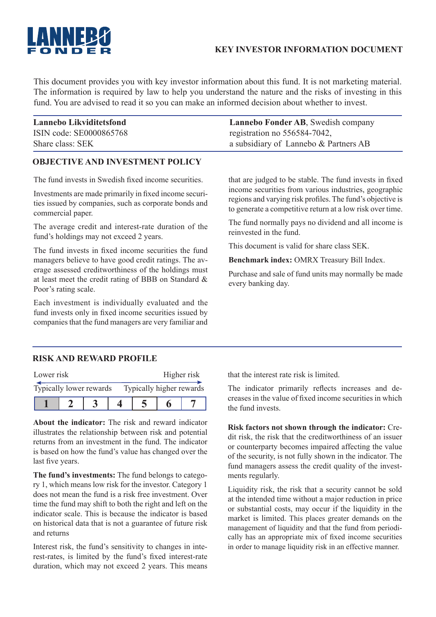# **KEY INVESTOR INFORMATION DOCUMENT**

This document provides you with key investor information about this fund. It is not marketing material. The information is required by law to help you understand the nature and the risks of investing in this fund. You are advised to read it so you can make an informed decision about whether to invest.

| Lannebo Likviditetsfond | Lannebo Fonder AB, Swedish company    |
|-------------------------|---------------------------------------|
| ISIN code: SE0000865768 | registration no 556584-7042,          |
| Share class: SEK        | a subsidiary of Lannebo & Partners AB |

## **OBJECTIVE AND INVESTMENT POLICY**

The fund invests in Swedish fixed income securities.

Investments are made primarily in fixed income securities issued by companies, such as corporate bonds and commercial paper.

The average credit and interest-rate duration of the fund's holdings may not exceed 2 years.

The fund invests in fixed income securities the fund managers believe to have good credit ratings. The average assessed creditworthiness of the holdings must at least meet the credit rating of BBB on Standard & Poor's rating scale.

Each investment is individually evaluated and the fund invests only in fixed income securities issued by companies that the fund managers are very familiar and

that are judged to be stable. The fund invests in fixed income securities from various industries, geographic regions and varying risk profiles. The fund's objective is to generate a competitive return at a low risk over time.

The fund normally pays no dividend and all income is reinvested in the fund.

This document is valid for share class SEK.

**Benchmark index:** OMRX Treasury Bill Index.

Purchase and sale of fund units may normally be made every banking day.

# **RISK AND REWARD PROFILE**

| Lower risk              |  |  | Higher risk              |  |  |  |
|-------------------------|--|--|--------------------------|--|--|--|
| Typically lower rewards |  |  | Typically higher rewards |  |  |  |
|                         |  |  |                          |  |  |  |

**About the indicator:** The risk and reward indicator illustrates the relationship between risk and potential returns from an investment in the fund. The indicator is based on how the fund's value has changed over the last five years.

**The fund's investments:** The fund belongs to category 1, which means low risk for the investor. Category 1 does not mean the fund is a risk free investment. Over time the fund may shift to both the right and left on the indicator scale. This is because the indicator is based on historical data that is not a guarantee of future risk and returns

Interest risk, the fund's sensitivity to changes in interest-rates, is limited by the fund's fixed interest-rate duration, which may not exceed 2 years. This means that the interest rate risk is limited.

The indicator primarily reflects increases and decreases in the value of fixed income securities in which the fund invests.

**Risk factors not shown through the indicator:** Credit risk, the risk that the creditworthiness of an issuer or counterparty becomes impaired affecting the value of the security, is not fully shown in the indicator. The fund managers assess the credit quality of the investments regularly.

Liquidity risk, the risk that a security cannot be sold at the intended time without a major reduction in price or substantial costs, may occur if the liquidity in the market is limited. This places greater demands on the management of liquidity and that the fund from periodically has an appropriate mix of fixed income securities in order to manage liquidity risk in an effective manner.